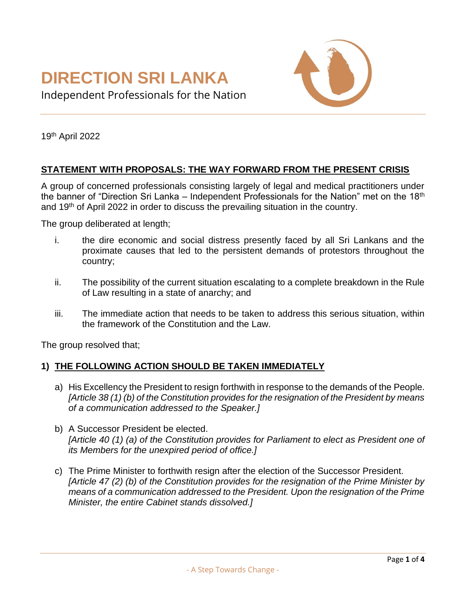

Independent Professionals for the Nation

19th April 2022

### **STATEMENT WITH PROPOSALS: THE WAY FORWARD FROM THE PRESENT CRISIS**

A group of concerned professionals consisting largely of legal and medical practitioners under the banner of "Direction Sri Lanka – Independent Professionals for the Nation" met on the 18<sup>th</sup> and 19th of April 2022 in order to discuss the prevailing situation in the country.

The group deliberated at length;

- i. the dire economic and social distress presently faced by all Sri Lankans and the proximate causes that led to the persistent demands of protestors throughout the country;
- ii. The possibility of the current situation escalating to a complete breakdown in the Rule of Law resulting in a state of anarchy; and
- iii. The immediate action that needs to be taken to address this serious situation, within the framework of the Constitution and the Law.

The group resolved that;

#### **1) THE FOLLOWING ACTION SHOULD BE TAKEN IMMEDIATELY**

- a) His Excellency the President to resign forthwith in response to the demands of the People. *[Article 38 (1) (b) of the Constitution provides for the resignation of the President by means of a communication addressed to the Speaker.]*
- b) A Successor President be elected. *[Article 40 (1) (a) of the Constitution provides for Parliament to elect as President one of its Members for the unexpired period of office.]*
- c) The Prime Minister to forthwith resign after the election of the Successor President. *[Article 47 (2) (b) of the Constitution provides for the resignation of the Prime Minister by means of a communication addressed to the President. Upon the resignation of the Prime Minister, the entire Cabinet stands dissolved.]*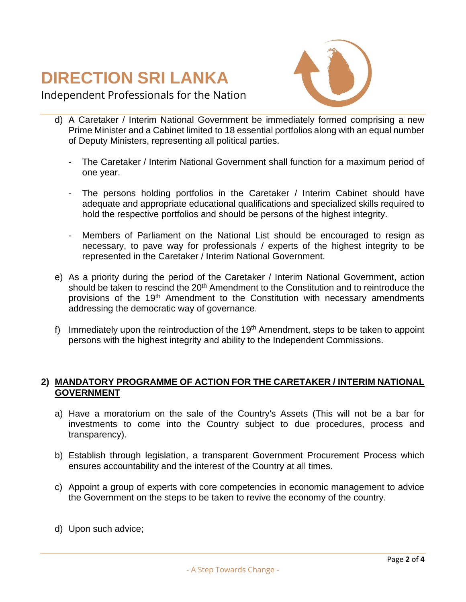

Independent Professionals for the Nation

- d) A Caretaker / Interim National Government be immediately formed comprising a new Prime Minister and a Cabinet limited to 18 essential portfolios along with an equal number of Deputy Ministers, representing all political parties.
	- The Caretaker / Interim National Government shall function for a maximum period of one year.
	- The persons holding portfolios in the Caretaker / Interim Cabinet should have adequate and appropriate educational qualifications and specialized skills required to hold the respective portfolios and should be persons of the highest integrity.
	- Members of Parliament on the National List should be encouraged to resign as necessary, to pave way for professionals / experts of the highest integrity to be represented in the Caretaker / Interim National Government.
- e) As a priority during the period of the Caretaker / Interim National Government, action should be taken to rescind the 20<sup>th</sup> Amendment to the Constitution and to reintroduce the provisions of the 19<sup>th</sup> Amendment to the Constitution with necessary amendments addressing the democratic way of governance.
- f) Immediately upon the reintroduction of the  $19<sup>th</sup>$  Amendment, steps to be taken to appoint persons with the highest integrity and ability to the Independent Commissions.

### **2) MANDATORY PROGRAMME OF ACTION FOR THE CARETAKER / INTERIM NATIONAL GOVERNMENT**

- a) Have a moratorium on the sale of the Country's Assets (This will not be a bar for investments to come into the Country subject to due procedures, process and transparency).
- b) Establish through legislation, a transparent Government Procurement Process which ensures accountability and the interest of the Country at all times.
- c) Appoint a group of experts with core competencies in economic management to advice the Government on the steps to be taken to revive the economy of the country.
- d) Upon such advice;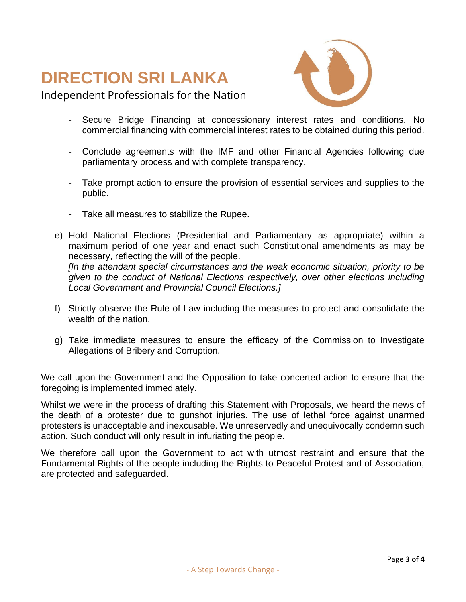

Independent Professionals for the Nation

- Secure Bridge Financing at concessionary interest rates and conditions. No commercial financing with commercial interest rates to be obtained during this period.
- Conclude agreements with the IMF and other Financial Agencies following due parliamentary process and with complete transparency.
- Take prompt action to ensure the provision of essential services and supplies to the public.
- Take all measures to stabilize the Rupee.
- e) Hold National Elections (Presidential and Parliamentary as appropriate) within a maximum period of one year and enact such Constitutional amendments as may be necessary, reflecting the will of the people. *[In the attendant special circumstances and the weak economic situation, priority to be given to the conduct of National Elections respectively, over other elections including Local Government and Provincial Council Elections.]*
- f) Strictly observe the Rule of Law including the measures to protect and consolidate the wealth of the nation.
- g) Take immediate measures to ensure the efficacy of the Commission to Investigate Allegations of Bribery and Corruption.

We call upon the Government and the Opposition to take concerted action to ensure that the foregoing is implemented immediately.

Whilst we were in the process of drafting this Statement with Proposals, we heard the news of the death of a protester due to gunshot injuries. The use of lethal force against unarmed protesters is unacceptable and inexcusable. We unreservedly and unequivocally condemn such action. Such conduct will only result in infuriating the people.

We therefore call upon the Government to act with utmost restraint and ensure that the Fundamental Rights of the people including the Rights to Peaceful Protest and of Association, are protected and safeguarded.